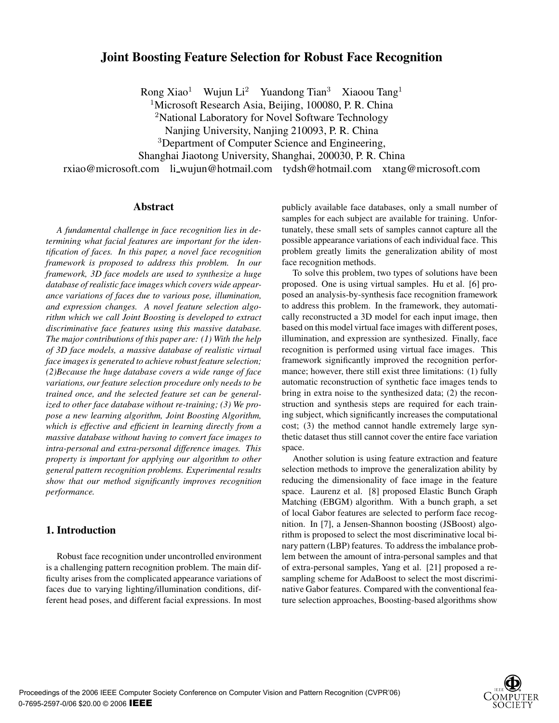# **Joint Boosting Feature Selection for Robust Face Recognition**

Rong Xiao<sup>1</sup> Wujun Li<sup>2</sup> Yuandong Tian<sup>3</sup> Xiaoou Tang<sup>1</sup>

<sup>1</sup>Microsoft Research Asia, Beijing, 100080, P. R. China

<sup>2</sup>National Laboratory for Novel Software Technology

Nanjing University, Nanjing 210093, P. R. China

<sup>3</sup>Department of Computer Science and Engineering,

Shanghai Jiaotong University, Shanghai, 200030, P. R. China

rxiao@microsoft.com li wujun@hotmail.com tydsh@hotmail.com xtang@microsoft.com

## **Abstract**

*A fundamental challenge in face recognition lies in determining what facial features are important for the identification of faces. In this paper, a novel face recognition framework is proposed to address this problem. In our framework, 3D face models are used to synthesize a huge database of realistic face images which covers wide appearance variations of faces due to various pose, illumination, and expression changes. A novel feature selection algorithm which we call Joint Boosting is developed to extract discriminative face features using this massive database. The major contributions of this paper are: (1) With the help of 3D face models, a massive database of realistic virtual face images is generated to achieve robust feature selection; (2)Because the huge database covers a wide range of face variations, our feature selection procedure only needs to be trained once, and the selected feature set can be generalized to other face database without re-training; (3) We propose a new learning algorithm, Joint Boosting Algorithm, which is effective and efficient in learning directly from a massive database without having to convert face images to intra-personal and extra-personal difference images. This property is important for applying our algorithm to other general pattern recognition problems. Experimental results show that our method significantly improves recognition performance.*

# **1. Introduction**

Robust face recognition under uncontrolled environment is a challenging pattern recognition problem. The main difficulty arises from the complicated appearance variations of faces due to varying lighting/illumination conditions, different head poses, and different facial expressions. In most

publicly available face databases, only a small number of samples for each subject are available for training. Unfortunately, these small sets of samples cannot capture all the possible appearance variations of each individual face. This problem greatly limits the generalization ability of most face recognition methods.

To solve this problem, two types of solutions have been proposed. One is using virtual samples. Hu et al. [6] proposed an analysis-by-synthesis face recognition framework to address this problem. In the framework, they automatically reconstructed a 3D model for each input image, then based on this model virtual face images with different poses, illumination, and expression are synthesized. Finally, face recognition is performed using virtual face images. This framework significantly improved the recognition performance; however, there still exist three limitations: (1) fully automatic reconstruction of synthetic face images tends to bring in extra noise to the synthesized data; (2) the reconstruction and synthesis steps are required for each training subject, which significantly increases the computational cost; (3) the method cannot handle extremely large synthetic dataset thus still cannot cover the entire face variation space.

Another solution is using feature extraction and feature selection methods to improve the generalization ability by reducing the dimensionality of face image in the feature space. Laurenz et al. [8] proposed Elastic Bunch Graph Matching (EBGM) algorithm. With a bunch graph, a set of local Gabor features are selected to perform face recognition. In [7], a Jensen-Shannon boosting (JSBoost) algorithm is proposed to select the most discriminative local binary pattern (LBP) features. To address the imbalance problem between the amount of intra-personal samples and that of extra-personal samples, Yang et al. [21] proposed a resampling scheme for AdaBoost to select the most discriminative Gabor features. Compared with the conventional feature selection approaches, Boosting-based algorithms show

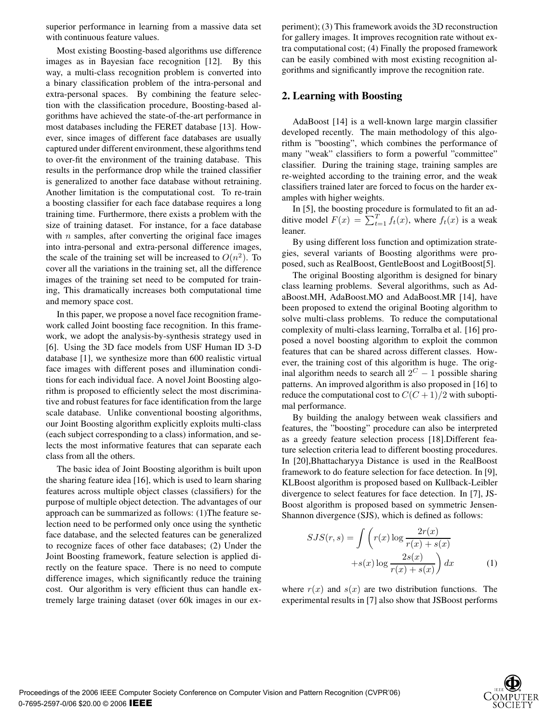superior performance in learning from a massive data set with continuous feature values.

Most existing Boosting-based algorithms use difference images as in Bayesian face recognition [12]. By this way, a multi-class recognition problem is converted into a binary classification problem of the intra-personal and extra-personal spaces. By combining the feature selection with the classification procedure, Boosting-based algorithms have achieved the state-of-the-art performance in most databases including the FERET database [13]. However, since images of different face databases are usually captured under different environment, these algorithms tend to over-fit the environment of the training database. This results in the performance drop while the trained classifier is generalized to another face database without retraining. Another limitation is the computational cost. To re-train a boosting classifier for each face database requires a long training time. Furthermore, there exists a problem with the size of training dataset. For instance, for a face database with  $n$  samples, after converting the original face images into intra-personal and extra-personal difference images, the scale of the training set will be increased to  $O(n^2)$ . To cover all the variations in the training set, all the difference images of the training set need to be computed for training, This dramatically increases both computational time and memory space cost.

In this paper, we propose a novel face recognition framework called Joint boosting face recognition. In this framework, we adopt the analysis-by-synthesis strategy used in [6]. Using the 3D face models from USF Human ID 3-D database [1], we synthesize more than 600 realistic virtual face images with different poses and illumination conditions for each individual face. A novel Joint Boosting algorithm is proposed to efficiently select the most discriminative and robust features for face identification from the large scale database. Unlike conventional boosting algorithms, our Joint Boosting algorithm explicitly exploits multi-class (each subject corresponding to a class) information, and selects the most informative features that can separate each class from all the others.

The basic idea of Joint Boosting algorithm is built upon the sharing feature idea [16], which is used to learn sharing features across multiple object classes (classifiers) for the purpose of multiple object detection. The advantages of our approach can be summarized as follows: (1)The feature selection need to be performed only once using the synthetic face database, and the selected features can be generalized to recognize faces of other face databases; (2) Under the Joint Boosting framework, feature selection is applied directly on the feature space. There is no need to compute difference images, which significantly reduce the training cost. Our algorithm is very efficient thus can handle extremely large training dataset (over 60k images in our experiment); (3) This framework avoids the 3D reconstruction for gallery images. It improves recognition rate without extra computational cost; (4) Finally the proposed framework can be easily combined with most existing recognition algorithms and significantly improve the recognition rate.

## **2. Learning with Boosting**

AdaBoost [14] is a well-known large margin classifier developed recently. The main methodology of this algorithm is "boosting", which combines the performance of many "weak" classifiers to form a powerful "committee" classifier. During the training stage, training samples are re-weighted according to the training error, and the weak classifiers trained later are forced to focus on the harder examples with higher weights.

In [5], the boosting procedure is formulated to fit an additive model  $F(x) = \sum_{t=1}^{T} f_t(x)$ , where  $f_t(x)$  is a weak leaner.

By using different loss function and optimization strategies, several variants of Boosting algorithms were proposed, such as RealBoost, GentleBoost and LogitBoost[5].

The original Boosting algorithm is designed for binary class learning problems. Several algorithms, such as AdaBoost.MH, AdaBoost.MO and AdaBoost.MR [14], have been proposed to extend the original Booting algorithm to solve multi-class problems. To reduce the computational complexity of multi-class learning, Torralba et al. [16] proposed a novel boosting algorithm to exploit the common features that can be shared across different classes. However, the training cost of this algorithm is huge. The original algorithm needs to search all  $2^C - 1$  possible sharing patterns. An improved algorithm is also proposed in [16] to reduce the computational cost to  $C(C+1)/2$  with suboptimal performance.

By building the analogy between weak classifiers and features, the "boosting" procedure can also be interpreted as a greedy feature selection process [18].Different feature selection criteria lead to different boosting procedures. In [20],Bhattacharyya Distance is used in the RealBoost framework to do feature selection for face detection. In [9], KLBoost algorithm is proposed based on Kullback-Leibler divergence to select features for face detection. In [7], JS-Boost algorithm is proposed based on symmetric Jensen-Shannon divergence (SJS), which is defined as follows:

$$
SJS(r, s) = \int \left( r(x) \log \frac{2r(x)}{r(x) + s(x)} + s(x) \log \frac{2s(x)}{r(x) + s(x)} \right) dx
$$
 (1)

where  $r(x)$  and  $s(x)$  are two distribution functions. The experimental results in [7] also show that JSBoost performs

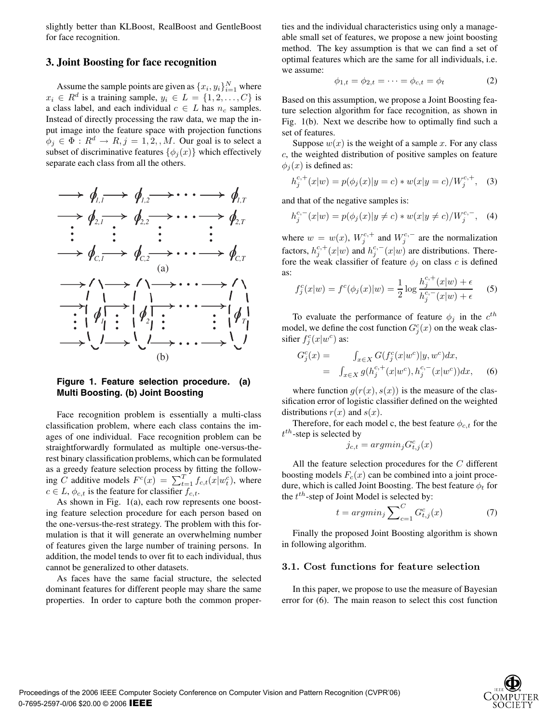slightly better than KLBoost, RealBoost and GentleBoost for face recognition.

## **3. Joint Boosting for face recognition**

Assume the sample points are given as  $\{x_i, y_i\}_{i=1}^N$  where  $x_i \in R^d$  is a training sample,  $y_i \in L = \{1, 2, \ldots, C\}$  is a class label, and each individual  $c \in L$  has  $n_c$  samples. Instead of directly processing the raw data, we map the input image into the feature space with projection functions  $\phi_j \in \Phi : R^d \to R, j = 1, 2, M$ . Our goal is to select a subset of discriminative features  $\{\phi_i(x)\}\$  which effectively separate each class from all the others.



#### **Figure 1. Feature selection procedure. (a) Multi Boosting. (b) Joint Boosting**

Face recognition problem is essentially a multi-class classification problem, where each class contains the images of one individual. Face recognition problem can be straightforwardly formulated as multiple one-versus-therest binary classification problems, which can be formulated as a greedy feature selection process by fitting the following C additive models  $F^c(x) = \sum_{t=1}^T f_{c,t}(x|w_t^c)$ , where  $c \in L$ ,  $\phi_{c,t}$  is the feature for classifier  $f_{c,t}$ .

As shown in Fig. 1(a), each row represents one boosting feature selection procedure for each person based on the one-versus-the-rest strategy. The problem with this formulation is that it will generate an overwhelming number of features given the large number of training persons. In addition, the model tends to over fit to each individual, thus cannot be generalized to other datasets.

As faces have the same facial structure, the selected dominant features for different people may share the same properties. In order to capture both the common properties and the individual characteristics using only a manageable small set of features, we propose a new joint boosting method. The key assumption is that we can find a set of optimal features which are the same for all individuals, i.e. we assume:

$$
\phi_{1,t} = \phi_{2,t} = \dots = \phi_{c,t} = \phi_t \tag{2}
$$

Based on this assumption, we propose a Joint Boosting feature selection algorithm for face recognition, as shown in Fig. 1(b). Next we describe how to optimally find such a set of features.

Suppose  $w(x)$  is the weight of a sample x. For any class c, the weighted distribution of positive samples on feature  $\phi_i(x)$  is defined as:

$$
h_j^{c,+}(x|w) = p(\phi_j(x)|y=c) * w(x|y=c) / W_j^{c,+}, \quad (3)
$$

and that of the negative samples is:

$$
h_j^{c,-}(x|w) = p(\phi_j(x)|y \neq c) * w(x|y \neq c) / W_j^{c,-}, \quad (4)
$$

where  $w = w(x)$ ,  $W_j^{c,+}$  and  $W_j^{c,-}$  are the normalization<br>factors  $h^{c,+}(y|x)$  and  $h^{c,-}(y|x)$  are distributions. There factors,  $h_j^{c,+}(x|w)$  and  $h_j^{c,-}(x|w)$  are distributions. There-<br>fore the weak classifier of feature  $\phi$ , on class c is defined fore the weak classifier of feature  $\phi_j$  on class c is defined as:

$$
f_j^c(x|w) = f^c(\phi_j(x)|w) = \frac{1}{2} \log \frac{h_j^{c,+}(x|w) + \epsilon}{h_j^{c,-}(x|w) + \epsilon}
$$
 (5)

To evaluate the performance of feature  $\phi_j$  in the  $c^{th}$ model, we define the cost function  $G_j^c(x)$  on the weak clas-<br>sifier  $f^c(x|w^c)$  as: sifier  $f_j^c(x|w^c)$  as:

$$
G_j^c(x) = \int_{x \in X} G(f_j^c(x|w^c)|y, w^c) dx,
$$
  
= 
$$
\int_{x \in X} g(h_j^{c,+}(x|w^c), h_j^{c,-}(x|w^c)) dx,
$$
 (6)

where function  $g(r(x), s(x))$  is the measure of the classification error of logistic classifier defined on the weighted distributions  $r(x)$  and  $s(x)$ .

Therefore, for each model c, the best feature  $\phi_{c,t}$  for the  $t^{th}$ -step is selected by

$$
j_{c,t} = argmin_j G_{t,j}^c(x)
$$

All the feature selection procedures for the C different boosting models  $F_c(x)$  can be combined into a joint procedure, which is called Joint Boosting. The best feature  $\phi_t$  for the  $t^{th}$ -step of Joint Model is selected by:

$$
t = argmin_j \sum_{c=1}^{C} G_{t,j}^c(x) \tag{7}
$$

Finally the proposed Joint Boosting algorithm is shown in following algorithm.

# **3.1. Cost functions for feature selection**

In this paper, we propose to use the measure of Bayesian error for (6). The main reason to select this cost function

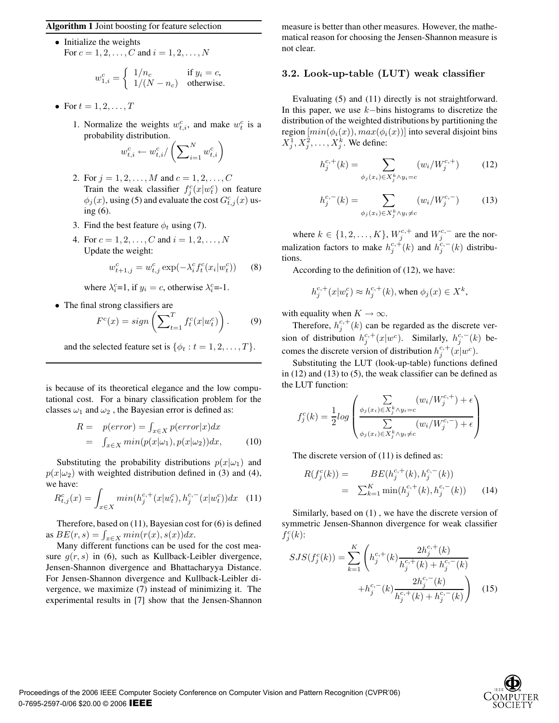#### **Algorithm 1** Joint boosting for feature selection

• Initialize the weights For  $c = 1, 2, ..., C$  and  $i = 1, 2, ..., N$ 

$$
w_{1,i}^c = \begin{cases} 1/n_c & \text{if } y_i = c, \\ 1/(N - n_c) & \text{otherwise.} \end{cases}
$$

- For  $t = 1, 2, \ldots, T$ 
	- 1. Normalize the weights  $w_{t,i}^c$ , and make  $w_t^c$  is a probability distribution.

$$
w_{t,i}^c \leftarrow w_{t,i}^c / \left( \sum\nolimits_{i=1}^N w_{t,i}^c \right)
$$

- 2. For  $j = 1, 2, ..., M$  and  $c = 1, 2, ..., C$ Train the weak classifier  $f_g^c(x|w_t^c)$  on feature<br> $\phi_t(x)$  using (5) and evaluate the cost  $C^c$  (x) us- $\phi_j(x)$ , using (5) and evaluate the cost  $G_{t,j}^c(x)$  using (6) ing (6).
- 3. Find the best feature  $\phi_t$  using (7).
- 4. For  $c = 1, 2, ..., C$  and  $i = 1, 2, ..., N$ Update the weight:

$$
w_{t+1,j}^c = w_{t,j}^c \exp(-\lambda_i^c f_t^c(x_i | w_t^c))
$$
 (8)

where  $\lambda_i^c=1$ , if  $y_i = c$ , otherwise  $\lambda_i^c=-1$ .

• The final strong classifiers are

$$
F^{c}(x) = sign\left(\sum_{t=1}^{T} f_{t}^{c}(x|w_{t}^{c})\right). \tag{9}
$$

and the selected feature set is  $\{\phi_t : t = 1, 2, \ldots, T\}$ .

is because of its theoretical elegance and the low computational cost. For a binary classification problem for the classes  $\omega_1$  and  $\omega_2$ , the Bayesian error is defined as:

$$
R = p(error) = \int_{x \in X} p(error|x)dx
$$
  
= 
$$
\int_{x \in X} min(p(x|\omega_1), p(x|\omega_2))dx,
$$
 (10)

Substituting the probability distributions  $p(x|\omega_1)$  and  $p(x|\omega_2)$  with weighted distribution defined in (3) and (4), we have:

$$
R_{t,j}^c(x) = \int_{x \in X} \min(h_j^{c,+}(x|w_t^c), h_j^{c,-}(x|w_t^c))dx \quad (11)
$$

Therefore, based on (11), Bayesian cost for (6) is defined as  $BE(r, s) = \int_{x \in X} min(r(x), s(x)) dx$ .<br>Many different functions can be used

Many different functions can be used for the cost measure  $g(r, s)$  in (6), such as Kullback-Leibler divergence, Jensen-Shannon divergence and Bhattacharyya Distance. For Jensen-Shannon divergence and Kullback-Leibler divergence, we maximize (7) instead of minimizing it. The experimental results in [7] show that the Jensen-Shannon measure is better than other measures. However, the mathematical reason for choosing the Jensen-Shannon measure is not clear.

#### **3.2. Look-up-table (LUT) weak classifier**

Evaluating (5) and (11) directly is not straightforward. In this paper, we use  $k$ −bins histograms to discretize the distribution of the weighted distributions by partitioning the region  $[min(\phi_i(x)), max(\phi_i(x))]$  into several disjoint bins  $X_1^1, X_1^2, \ldots, X_i^k$ . We define:

$$
h_j^{c,+}(k) = \sum_{\phi_j(x_i) \in X_j^k \land y_i = c} (w_i / W_j^{c,+}) \tag{12}
$$

$$
h_j^{c,-}(k) = \sum_{\phi_j(x_i) \in X_j^k \land y_i \neq c} (w_i / W_j^{c,-})
$$
 (13)

where  $k \in \{1, 2, ..., K\}$ ,  $W_j^{c,+}$  and  $W_j^{c,-}$  are the nor-<br>justice for the normal of  $k^{c,+}(1)$  and  $k^{c,-}(1)$ . Finally malization factors to make  $h_j^{c,+}(k)$  and  $h_j^{c,-}(k)$  distributions.

According to the definition of (12), we have:

$$
h_j^{c,+}(x|w_t^c) \approx h_j^{c,+}(k), \text{when } \phi_j(x) \in X^k,
$$

with equality when  $K \to \infty$ .

Therefore,  $h_j^{c,+}(k)$  can be regarded as the discrete version of distribution  $h_j^{c,+}(x|w^c)$ . Similarly,  $h_j^{c,-}(k)$  becomes the discrete version of distribution  $h_j^{c,+}(x|w^c)$ .<br>Substituting the LUT (look up table) functions de

Substituting the LUT (look-up-table) functions defined in (12) and (13) to (5), the weak classifier can be defined as the LUT function:

$$
f_j^c(k) = \frac{1}{2} log \left( \frac{\sum\limits_{\phi_j(x_i) \in X_j^k \wedge y_i = c} (w_i / W_j^{c,+}) + \epsilon}{\sum\limits_{\phi_j(x_i) \in X_j^k \wedge y_i \neq c} (w_i / W_j^{c,-}) + \epsilon} \right)
$$

The discrete version of (11) is defined as:

$$
R(f_j^c(k)) = BE(h_j^{c,+}(k), h_j^{c,-}(k))
$$
  
=  $\sum_{k=1}^K \min(h_j^{c,+}(k), h_j^{c,-}(k))$  (14)

Similarly, based on (1) , we have the discrete version of symmetric Jensen-Shannon divergence for weak classifier  $\dot{f}^c_j(k)$ :

$$
SJS(f_j^c(k)) = \sum_{k=1}^K \left( h_j^{c,+}(k) \frac{2h_j^{c,+}(k)}{h_j^{c,+}(k) + h_j^{c,-}(k)} + h_j^{c,-}(k) \frac{2h_j^{c,-}(k)}{h_j^{c,+}(k) + h_j^{c,-}(k)} \right)
$$
(15)

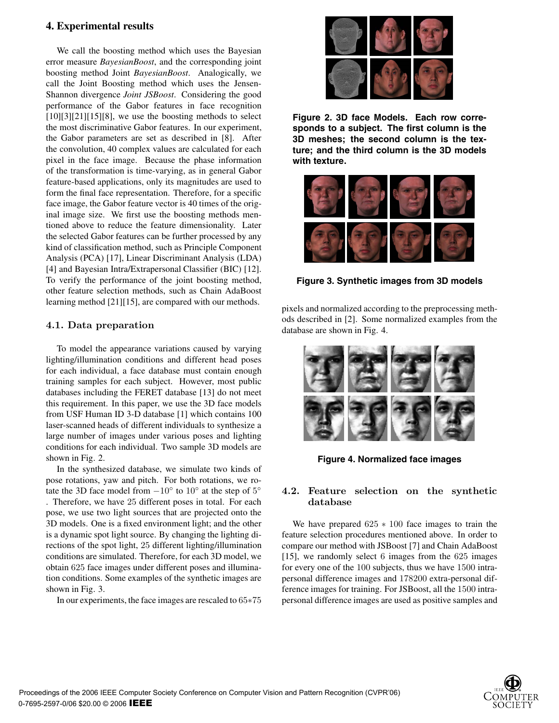# **4. Experimental results**

We call the boosting method which uses the Bayesian error measure *BayesianBoost*, and the corresponding joint boosting method Joint *BayesianBoost*. Analogically, we call the Joint Boosting method which uses the Jensen-Shannon divergence *Joint JSBoost*. Considering the good performance of the Gabor features in face recognition  $[10][3][21][15][8]$ , we use the boosting methods to select the most discriminative Gabor features. In our experiment, the Gabor parameters are set as described in [8]. After the convolution, 40 complex values are calculated for each pixel in the face image. Because the phase information of the transformation is time-varying, as in general Gabor feature-based applications, only its magnitudes are used to form the final face representation. Therefore, for a specific face image, the Gabor feature vector is 40 times of the original image size. We first use the boosting methods mentioned above to reduce the feature dimensionality. Later the selected Gabor features can be further processed by any kind of classification method, such as Principle Component Analysis (PCA) [17], Linear Discriminant Analysis (LDA) [4] and Bayesian Intra/Extrapersonal Classifier (BIC) [12]. To verify the performance of the joint boosting method, other feature selection methods, such as Chain AdaBoost learning method [21][15], are compared with our methods.

# **4.1. Data preparation**

To model the appearance variations caused by varying lighting/illumination conditions and different head poses for each individual, a face database must contain enough training samples for each subject. However, most public databases including the FERET database [13] do not meet this requirement. In this paper, we use the 3D face models from USF Human ID 3-D database [1] which contains 100 laser-scanned heads of different individuals to synthesize a large number of images under various poses and lighting conditions for each individual. Two sample 3D models are shown in Fig. 2.

In the synthesized database, we simulate two kinds of pose rotations, yaw and pitch. For both rotations, we rotate the 3D face model from  $-10°$  to  $10°$  at the step of  $5°$ . Therefore, we have 25 different poses in total. For each pose, we use two light sources that are projected onto the 3D models. One is a fixed environment light; and the other is a dynamic spot light source. By changing the lighting directions of the spot light, 25 different lighting/illumination conditions are simulated. Therefore, for each 3D model, we obtain 625 face images under different poses and illumination conditions. Some examples of the synthetic images are shown in Fig. 3.

In our experiments, the face images are rescaled to 65∗75



**Figure 2. 3D face Models. Each row corresponds to a subject. The first column is the 3D meshes; the second column is the texture; and the third column is the 3D models with texture.**



**Figure 3. Synthetic images from 3D models**

pixels and normalized according to the preprocessing methods described in [2]. Some normalized examples from the database are shown in Fig. 4.



**Figure 4. Normalized face images**

# **4.2. Feature selection on the synthetic database**

We have prepared  $625 * 100$  face images to train the feature selection procedures mentioned above. In order to compare our method with JSBoost [7] and Chain AdaBoost [15], we randomly select 6 images from the 625 images for every one of the 100 subjects, thus we have 1500 intrapersonal difference images and 178200 extra-personal difference images for training. For JSBoost, all the 1500 intrapersonal difference images are used as positive samples and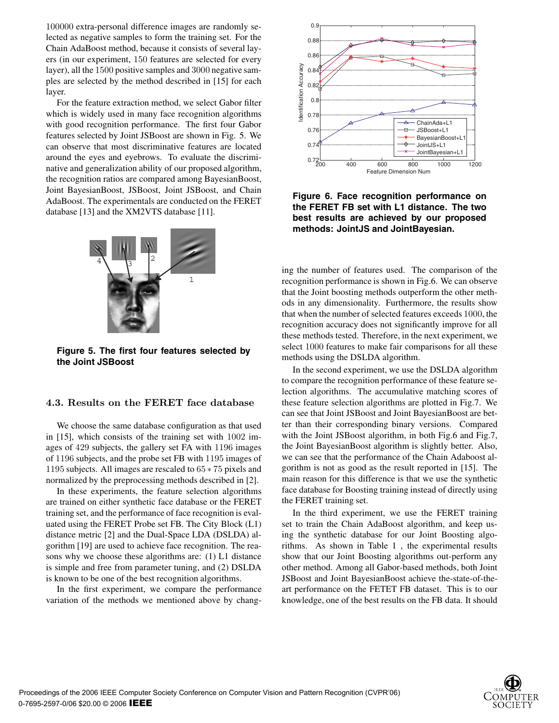100000 extra-personal difference images are randomly selected as negative samples to form the training set. For the Chain AdaBoost method, because it consists of several layers (in our experiment, 150 features are selected for every layer), all the 1500 positive samples and 3000 negative samples are selected by the method described in [15] for each layer.

For the feature extraction method, we select Gabor filter which is widely used in many face recognition algorithms with good recognition performance. The first four Gabor features selected by Joint JSBoost are shown in Fig. 5. We can observe that most discriminative features are located around the eyes and eyebrows. To evaluate the discriminative and generalization ability of our proposed algorithm, the recognition ratios are compared among BayesianBoost, Joint BayesianBoost, JSBoost, Joint JSBoost, and Chain AdaBoost. The experimentals are conducted on the FERET database [13] and the XM2VTS database [11].



**Figure 5. The first four features selected by the Joint JSBoost**

## **4.3. Results on the FERET face database**

We choose the same database configuration as that used in [15], which consists of the training set with 1002 images of 429 subjects, the gallery set FA with 1196 images of 1196 subjects, and the probe set FB with 1195 images of 1195 subjects. All images are rescaled to 65 <sup>∗</sup> 75 pixels and normalized by the preprocessing methods described in [2].

In these experiments, the feature selection algorithms are trained on either synthetic face database or the FERET training set, and the performance of face recognition is evaluated using the FERET Probe set FB. The City Block (L1) distance metric [2] and the Dual-Space LDA (DSLDA) algorithm [19] are used to achieve face recognition. The reasons why we choose these algorithms are: (1) L1 distance is simple and free from parameter tuning, and (2) DSLDA is known to be one of the best recognition algorithms.

In the first experiment, we compare the performance variation of the methods we mentioned above by chang-



**Figure 6. Face recognition performance on the FERET FB set with L1 distance. The two best results are achieved by our proposed methods: JointJS and JointBayesian.**

ing the number of features used. The comparison of the recognition performance is shown in Fig.6. We can observe that the Joint boosting methods outperform the other methods in any dimensionality. Furthermore, the results show that when the number of selected features exceeds 1000, the recognition accuracy does not significantly improve for all these methods tested. Therefore, in the next experiment, we select 1000 features to make fair comparisons for all these methods using the DSLDA algorithm.

In the second experiment, we use the DSLDA algorithm to compare the recognition performance of these feature selection algorithms. The accumulative matching scores of these feature selection algorithms are plotted in Fig.7. We can see that Joint JSBoost and Joint BayesianBoost are better than their corresponding binary versions. Compared with the Joint JSBoost algorithm, in both Fig.6 and Fig.7, the Joint BayesianBoost algorithm is slightly better. Also, we can see that the performance of the Chain Adaboost algorithm is not as good as the result reported in [15]. The main reason for this difference is that we use the synthetic face database for Boosting training instead of directly using the FERET training set.

In the third experiment, we use the FERET training set to train the Chain AdaBoost algorithm, and keep using the synthetic database for our Joint Boosting algorithms. As shown in Table 1 , the experimental results show that our Joint Boosting algorithms out-perform any other method. Among all Gabor-based methods, both Joint JSBoost and Joint BayesianBoost achieve the-state-of-theart performance on the FETET FB dataset. This is to our knowledge, one of the best results on the FB data. It should

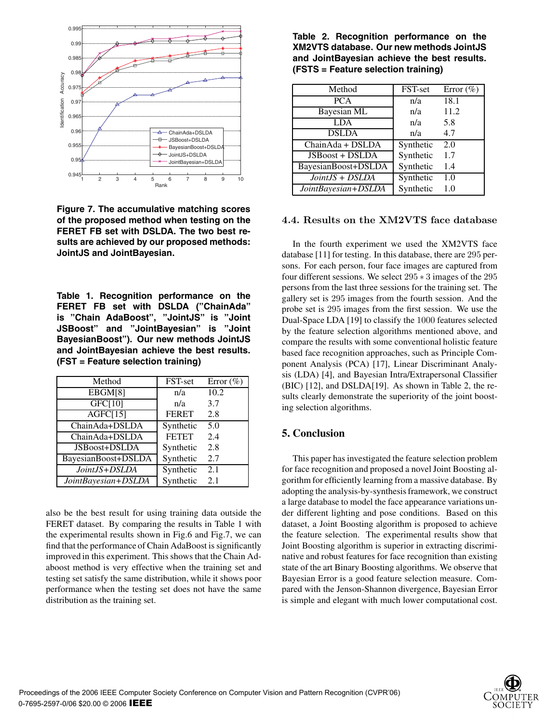

**Figure 7. The accumulative matching scores of the proposed method when testing on the FERET FB set with DSLDA. The two best results are achieved by our proposed methods: JointJS and JointBayesian.**

**Table 1. Recognition performance on the FERET FB set with DSLDA ("ChainAda" is "Chain AdaBoost", "JointJS" is "Joint JSBoost" and "JointBayesian" is "Joint BayesianBoost"). Our new methods JointJS and JointBayesian achieve the best results. (FST = Feature selection training)**

| Method              | FST-set      | Error $(\% )$ |
|---------------------|--------------|---------------|
| EBGM[8]             | n/a          | 10.2          |
| GFC[10]             | n/a          | 3.7           |
| AGFC[15]            | <b>FERET</b> | 2.8           |
| ChainAda+DSLDA      | Synthetic    | 5.0           |
| ChainAda+DSLDA      | <b>FETET</b> | 2.4           |
| JSBoost+DSLDA       | Synthetic    | 2.8           |
| BayesianBoost+DSLDA | Synthetic    | 2.7           |
| JointJS+DSLDA       | Synthetic    | 2.1           |
| JointBayesian+DSLDA | Synthetic    | 2.1           |

also be the best result for using training data outside the FERET dataset. By comparing the results in Table 1 with the experimental results shown in Fig.6 and Fig.7, we can find that the performance of Chain AdaBoost is significantly improved in this experiment. This shows that the Chain Adaboost method is very effective when the training set and testing set satisfy the same distribution, while it shows poor performance when the testing set does not have the same distribution as the training set.

**Table 2. Recognition performance on the XM2VTS database. Our new methods JointJS and JointBayesian achieve the best results. (FSTS = Feature selection training)**

| Method              | FST-set   | Error $(\% )$    |
|---------------------|-----------|------------------|
| <b>PCA</b>          | n/a       | 18.1             |
| <b>Bayesian ML</b>  | n/a       | 11.2             |
| <b>LDA</b>          | n/a       | 5.8              |
| <b>DSLDA</b>        | n/a       | 4.7              |
| ChainAda + DSLDA    | Synthetic | $\overline{2.0}$ |
| JSBoost + DSLDA     | Synthetic | 1.7              |
| BayesianBoost+DSLDA | Synthetic | 1.4              |
| JointJS + DSLDA     | Synthetic | 1.0              |
| JointBayesian+DSLDA | Synthetic | 1.0              |

## **4.4. Results on the XM2VTS face database**

In the fourth experiment we used the XM2VTS face database [11] for testing. In this database, there are 295 persons. For each person, four face images are captured from four different sessions. We select 295 <sup>∗</sup> 3 images of the 295 persons from the last three sessions for the training set. The gallery set is 295 images from the fourth session. And the probe set is 295 images from the first session. We use the Dual-Space LDA [19] to classify the 1000 features selected by the feature selection algorithms mentioned above, and compare the results with some conventional holistic feature based face recognition approaches, such as Principle Component Analysis (PCA) [17], Linear Discriminant Analysis (LDA) [4], and Bayesian Intra/Extrapersonal Classifier (BIC) [12], and DSLDA[19]. As shown in Table 2, the results clearly demonstrate the superiority of the joint boosting selection algorithms.

### **5. Conclusion**

This paper has investigated the feature selection problem for face recognition and proposed a novel Joint Boosting algorithm for efficiently learning from a massive database. By adopting the analysis-by-synthesis framework, we construct a large database to model the face appearance variations under different lighting and pose conditions. Based on this dataset, a Joint Boosting algorithm is proposed to achieve the feature selection. The experimental results show that Joint Boosting algorithm is superior in extracting discriminative and robust features for face recognition than existing state of the art Binary Boosting algorithms. We observe that Bayesian Error is a good feature selection measure. Compared with the Jenson-Shannon divergence, Bayesian Error is simple and elegant with much lower computational cost.